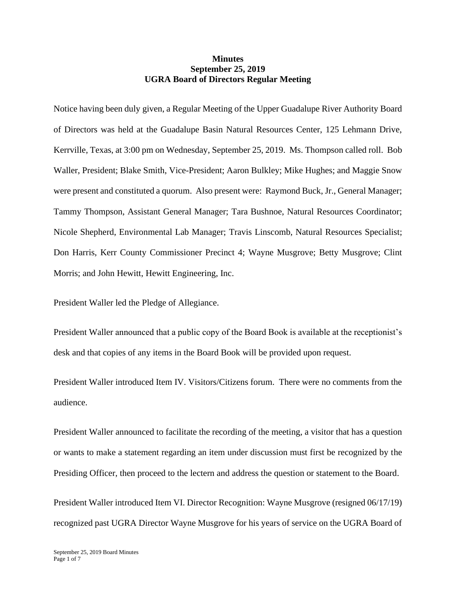## **Minutes September 25, 2019 UGRA Board of Directors Regular Meeting**

Notice having been duly given, a Regular Meeting of the Upper Guadalupe River Authority Board of Directors was held at the Guadalupe Basin Natural Resources Center, 125 Lehmann Drive, Kerrville, Texas, at 3:00 pm on Wednesday, September 25, 2019. Ms. Thompson called roll. Bob Waller, President; Blake Smith, Vice-President; Aaron Bulkley; Mike Hughes; and Maggie Snow were present and constituted a quorum. Also present were: Raymond Buck, Jr., General Manager; Tammy Thompson, Assistant General Manager; Tara Bushnoe, Natural Resources Coordinator; Nicole Shepherd, Environmental Lab Manager; Travis Linscomb, Natural Resources Specialist; Don Harris, Kerr County Commissioner Precinct 4; Wayne Musgrove; Betty Musgrove; Clint Morris; and John Hewitt, Hewitt Engineering, Inc.

President Waller led the Pledge of Allegiance.

President Waller announced that a public copy of the Board Book is available at the receptionist's desk and that copies of any items in the Board Book will be provided upon request.

President Waller introduced Item IV. Visitors/Citizens forum. There were no comments from the audience.

President Waller announced to facilitate the recording of the meeting, a visitor that has a question or wants to make a statement regarding an item under discussion must first be recognized by the Presiding Officer, then proceed to the lectern and address the question or statement to the Board.

President Waller introduced Item VI. Director Recognition: Wayne Musgrove (resigned 06/17/19) recognized past UGRA Director Wayne Musgrove for his years of service on the UGRA Board of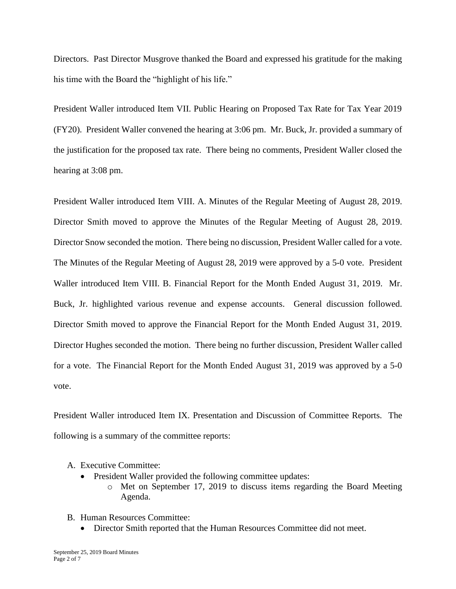Directors. Past Director Musgrove thanked the Board and expressed his gratitude for the making his time with the Board the "highlight of his life."

President Waller introduced Item VII. Public Hearing on Proposed Tax Rate for Tax Year 2019 (FY20). President Waller convened the hearing at 3:06 pm. Mr. Buck, Jr. provided a summary of the justification for the proposed tax rate. There being no comments, President Waller closed the hearing at 3:08 pm.

President Waller introduced Item VIII. A. Minutes of the Regular Meeting of August 28, 2019. Director Smith moved to approve the Minutes of the Regular Meeting of August 28, 2019. Director Snow seconded the motion. There being no discussion, President Waller called for a vote. The Minutes of the Regular Meeting of August 28, 2019 were approved by a 5-0 vote. President Waller introduced Item VIII. B. Financial Report for the Month Ended August 31, 2019. Mr. Buck, Jr. highlighted various revenue and expense accounts. General discussion followed. Director Smith moved to approve the Financial Report for the Month Ended August 31, 2019. Director Hughes seconded the motion. There being no further discussion, President Waller called for a vote. The Financial Report for the Month Ended August 31, 2019 was approved by a 5-0 vote.

President Waller introduced Item IX. Presentation and Discussion of Committee Reports. The following is a summary of the committee reports:

- A. Executive Committee:
	- President Waller provided the following committee updates:
		- o Met on September 17, 2019 to discuss items regarding the Board Meeting Agenda.
- B. Human Resources Committee:
	- Director Smith reported that the Human Resources Committee did not meet.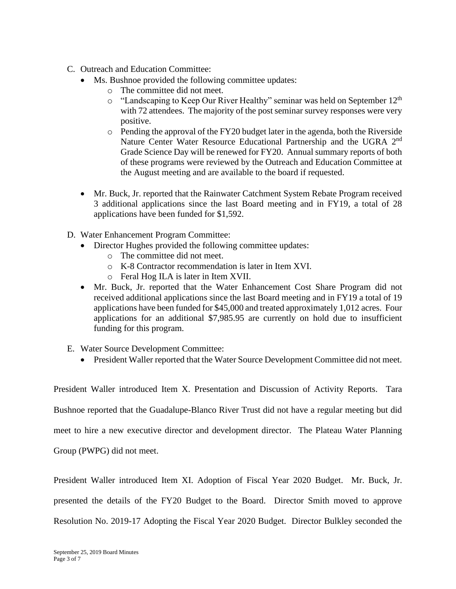- C. Outreach and Education Committee:
	- Ms. Bushnoe provided the following committee updates:
		- o The committee did not meet.
		- $\circ$  "Landscaping to Keep Our River Healthy" seminar was held on September 12<sup>th</sup> with 72 attendees. The majority of the post seminar survey responses were very positive.
		- $\circ$  Pending the approval of the FY20 budget later in the agenda, both the Riverside Nature Center Water Resource Educational Partnership and the UGRA 2<sup>nd</sup> Grade Science Day will be renewed for FY20. Annual summary reports of both of these programs were reviewed by the Outreach and Education Committee at the August meeting and are available to the board if requested.
	- Mr. Buck, Jr. reported that the Rainwater Catchment System Rebate Program received 3 additional applications since the last Board meeting and in FY19, a total of 28 applications have been funded for \$1,592.
- D. Water Enhancement Program Committee:
	- Director Hughes provided the following committee updates:
		- o The committee did not meet.
		- o K-8 Contractor recommendation is later in Item XVI.
		- o Feral Hog ILA is later in Item XVII.
	- Mr. Buck, Jr. reported that the Water Enhancement Cost Share Program did not received additional applications since the last Board meeting and in FY19 a total of 19 applications have been funded for \$45,000 and treated approximately 1,012 acres. Four applications for an additional \$7,985.95 are currently on hold due to insufficient funding for this program.
- E. Water Source Development Committee:
	- President Waller reported that the Water Source Development Committee did not meet.

President Waller introduced Item X. Presentation and Discussion of Activity Reports. Tara Bushnoe reported that the Guadalupe-Blanco River Trust did not have a regular meeting but did meet to hire a new executive director and development director. The Plateau Water Planning

Group (PWPG) did not meet.

President Waller introduced Item XI. Adoption of Fiscal Year 2020 Budget. Mr. Buck, Jr.

presented the details of the FY20 Budget to the Board. Director Smith moved to approve

Resolution No. 2019-17 Adopting the Fiscal Year 2020 Budget. Director Bulkley seconded the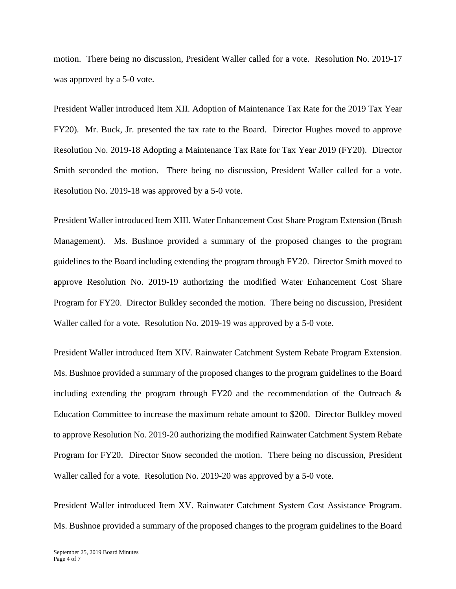motion. There being no discussion, President Waller called for a vote. Resolution No. 2019-17 was approved by a 5-0 vote.

President Waller introduced Item XII. Adoption of Maintenance Tax Rate for the 2019 Tax Year FY20). Mr. Buck, Jr. presented the tax rate to the Board. Director Hughes moved to approve Resolution No. 2019-18 Adopting a Maintenance Tax Rate for Tax Year 2019 (FY20). Director Smith seconded the motion. There being no discussion, President Waller called for a vote. Resolution No. 2019-18 was approved by a 5-0 vote.

President Waller introduced Item XIII. Water Enhancement Cost Share Program Extension (Brush Management). Ms. Bushnoe provided a summary of the proposed changes to the program guidelines to the Board including extending the program through FY20. Director Smith moved to approve Resolution No. 2019-19 authorizing the modified Water Enhancement Cost Share Program for FY20. Director Bulkley seconded the motion. There being no discussion, President Waller called for a vote. Resolution No. 2019-19 was approved by a 5-0 vote.

President Waller introduced Item XIV. Rainwater Catchment System Rebate Program Extension. Ms. Bushnoe provided a summary of the proposed changes to the program guidelines to the Board including extending the program through FY20 and the recommendation of the Outreach  $\&$ Education Committee to increase the maximum rebate amount to \$200. Director Bulkley moved to approve Resolution No. 2019-20 authorizing the modified Rainwater Catchment System Rebate Program for FY20. Director Snow seconded the motion. There being no discussion, President Waller called for a vote. Resolution No. 2019-20 was approved by a 5-0 vote.

President Waller introduced Item XV. Rainwater Catchment System Cost Assistance Program. Ms. Bushnoe provided a summary of the proposed changes to the program guidelines to the Board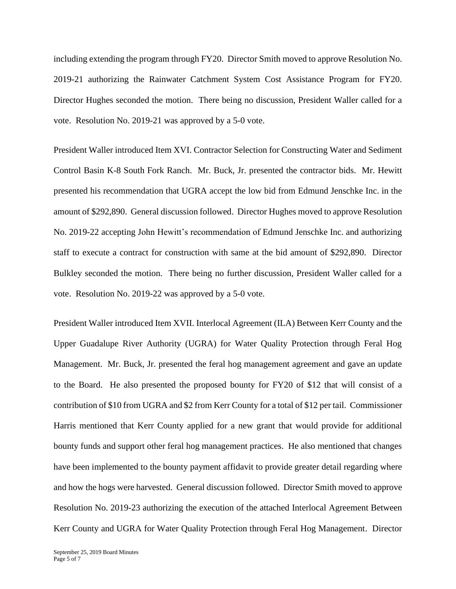including extending the program through FY20. Director Smith moved to approve Resolution No. 2019-21 authorizing the Rainwater Catchment System Cost Assistance Program for FY20. Director Hughes seconded the motion. There being no discussion, President Waller called for a vote. Resolution No. 2019-21 was approved by a 5-0 vote.

President Waller introduced Item XVI. Contractor Selection for Constructing Water and Sediment Control Basin K-8 South Fork Ranch. Mr. Buck, Jr. presented the contractor bids. Mr. Hewitt presented his recommendation that UGRA accept the low bid from Edmund Jenschke Inc. in the amount of \$292,890. General discussion followed. Director Hughes moved to approve Resolution No. 2019-22 accepting John Hewitt's recommendation of Edmund Jenschke Inc. and authorizing staff to execute a contract for construction with same at the bid amount of \$292,890. Director Bulkley seconded the motion. There being no further discussion, President Waller called for a vote. Resolution No. 2019-22 was approved by a 5-0 vote.

President Waller introduced Item XVII. Interlocal Agreement (ILA) Between Kerr County and the Upper Guadalupe River Authority (UGRA) for Water Quality Protection through Feral Hog Management. Mr. Buck, Jr. presented the feral hog management agreement and gave an update to the Board. He also presented the proposed bounty for FY20 of \$12 that will consist of a contribution of \$10 from UGRA and \$2 from Kerr County for a total of \$12 per tail. Commissioner Harris mentioned that Kerr County applied for a new grant that would provide for additional bounty funds and support other feral hog management practices. He also mentioned that changes have been implemented to the bounty payment affidavit to provide greater detail regarding where and how the hogs were harvested. General discussion followed. Director Smith moved to approve Resolution No. 2019-23 authorizing the execution of the attached Interlocal Agreement Between Kerr County and UGRA for Water Quality Protection through Feral Hog Management. Director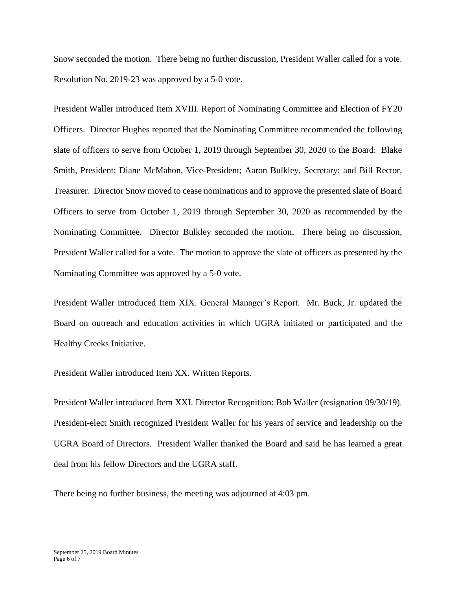Snow seconded the motion. There being no further discussion, President Waller called for a vote. Resolution No. 2019-23 was approved by a 5-0 vote.

President Waller introduced Item XVIII. Report of Nominating Committee and Election of FY20 Officers. Director Hughes reported that the Nominating Committee recommended the following slate of officers to serve from October 1, 2019 through September 30, 2020 to the Board: Blake Smith, President; Diane McMahon, Vice-President; Aaron Bulkley, Secretary; and Bill Rector, Treasurer. Director Snow moved to cease nominations and to approve the presented slate of Board Officers to serve from October 1, 2019 through September 30, 2020 as recommended by the Nominating Committee. Director Bulkley seconded the motion. There being no discussion, President Waller called for a vote. The motion to approve the slate of officers as presented by the Nominating Committee was approved by a 5-0 vote.

President Waller introduced Item XIX. General Manager's Report. Mr. Buck, Jr. updated the Board on outreach and education activities in which UGRA initiated or participated and the Healthy Creeks Initiative.

President Waller introduced Item XX. Written Reports.

President Waller introduced Item XXI. Director Recognition: Bob Waller (resignation 09/30/19). President-elect Smith recognized President Waller for his years of service and leadership on the UGRA Board of Directors. President Waller thanked the Board and said he has learned a great deal from his fellow Directors and the UGRA staff.

There being no further business, the meeting was adjourned at 4:03 pm.